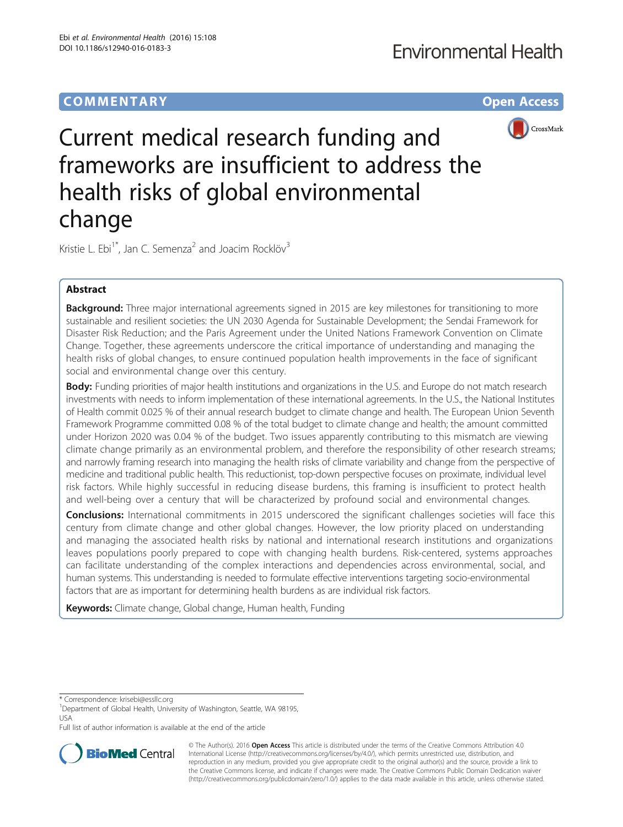# **COMMENTARY COMMENTARY Open Access**



Current medical research funding and frameworks are insufficient to address the health risks of global environmental change

Kristie L. Ebi<sup>1\*</sup>, Jan C. Semenza<sup>2</sup> and Joacim Rocklöv<sup>3</sup>

# Abstract

Background: Three major international agreements signed in 2015 are key milestones for transitioning to more sustainable and resilient societies: the UN 2030 Agenda for Sustainable Development; the Sendai Framework for Disaster Risk Reduction; and the Paris Agreement under the United Nations Framework Convention on Climate Change. Together, these agreements underscore the critical importance of understanding and managing the health risks of global changes, to ensure continued population health improvements in the face of significant social and environmental change over this century.

Body: Funding priorities of major health institutions and organizations in the U.S. and Europe do not match research investments with needs to inform implementation of these international agreements. In the U.S., the National Institutes of Health commit 0.025 % of their annual research budget to climate change and health. The European Union Seventh Framework Programme committed 0.08 % of the total budget to climate change and health; the amount committed under Horizon 2020 was 0.04 % of the budget. Two issues apparently contributing to this mismatch are viewing climate change primarily as an environmental problem, and therefore the responsibility of other research streams; and narrowly framing research into managing the health risks of climate variability and change from the perspective of medicine and traditional public health. This reductionist, top-down perspective focuses on proximate, individual level risk factors. While highly successful in reducing disease burdens, this framing is insufficient to protect health and well-being over a century that will be characterized by profound social and environmental changes.

**Conclusions:** International commitments in 2015 underscored the significant challenges societies will face this century from climate change and other global changes. However, the low priority placed on understanding and managing the associated health risks by national and international research institutions and organizations leaves populations poorly prepared to cope with changing health burdens. Risk-centered, systems approaches can facilitate understanding of the complex interactions and dependencies across environmental, social, and human systems. This understanding is needed to formulate effective interventions targeting socio-environmental factors that are as important for determining health burdens as are individual risk factors.

Keywords: Climate change, Global change, Human health, Funding

\* Correspondence: [krisebi@essllc.org](mailto:krisebi@essllc.org) <sup>1</sup>

Full list of author information is available at the end of the article



© The Author(s). 2016 Open Access This article is distributed under the terms of the Creative Commons Attribution 4.0 International License [\(http://creativecommons.org/licenses/by/4.0/](http://creativecommons.org/licenses/by/4.0/)), which permits unrestricted use, distribution, and reproduction in any medium, provided you give appropriate credit to the original author(s) and the source, provide a link to the Creative Commons license, and indicate if changes were made. The Creative Commons Public Domain Dedication waiver [\(http://creativecommons.org/publicdomain/zero/1.0/](http://creativecommons.org/publicdomain/zero/1.0/)) applies to the data made available in this article, unless otherwise stated.

<sup>&</sup>lt;sup>1</sup>Department of Global Health, University of Washington, Seattle, WA 98195, USA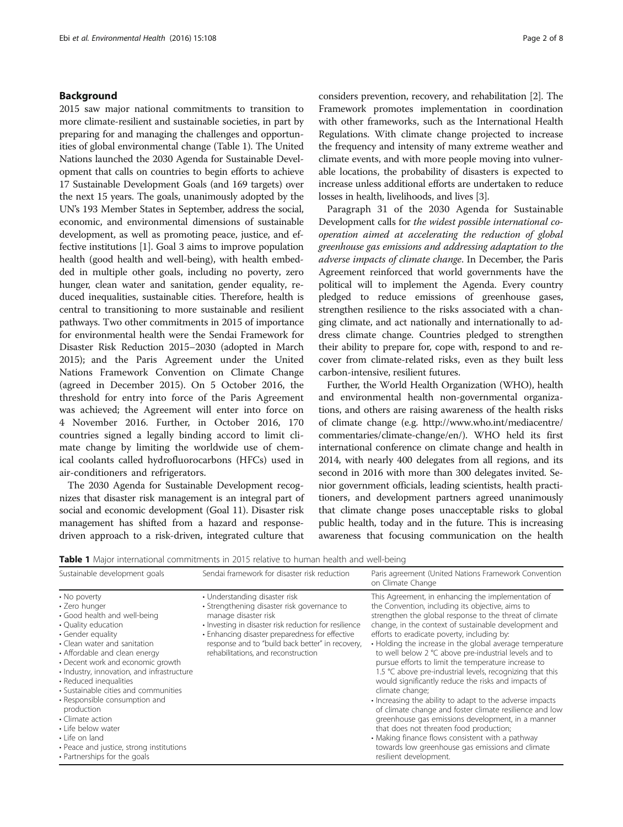### <span id="page-1-0"></span>Background

2015 saw major national commitments to transition to more climate-resilient and sustainable societies, in part by preparing for and managing the challenges and opportunities of global environmental change (Table 1). The United Nations launched the 2030 Agenda for Sustainable Development that calls on countries to begin efforts to achieve 17 Sustainable Development Goals (and 169 targets) over the next 15 years. The goals, unanimously adopted by the UN's 193 Member States in September, address the social, economic, and environmental dimensions of sustainable development, as well as promoting peace, justice, and effective institutions [\[1](#page-6-0)]. Goal 3 aims to improve population health (good health and well-being), with health embedded in multiple other goals, including no poverty, zero hunger, clean water and sanitation, gender equality, reduced inequalities, sustainable cities. Therefore, health is central to transitioning to more sustainable and resilient pathways. Two other commitments in 2015 of importance for environmental health were the Sendai Framework for Disaster Risk Reduction 2015–2030 (adopted in March 2015); and the Paris Agreement under the United Nations Framework Convention on Climate Change (agreed in December 2015). On 5 October 2016, the threshold for entry into force of the Paris Agreement was achieved; the Agreement will enter into force on 4 November 2016. Further, in October 2016, 170 countries signed a legally binding accord to limit climate change by limiting the worldwide use of chemical coolants called hydrofluorocarbons (HFCs) used in air-conditioners and refrigerators.

The 2030 Agenda for Sustainable Development recognizes that disaster risk management is an integral part of social and economic development (Goal 11). Disaster risk management has shifted from a hazard and responsedriven approach to a risk-driven, integrated culture that considers prevention, recovery, and rehabilitation [[2](#page-6-0)]. The Framework promotes implementation in coordination with other frameworks, such as the International Health Regulations. With climate change projected to increase the frequency and intensity of many extreme weather and climate events, and with more people moving into vulnerable locations, the probability of disasters is expected to increase unless additional efforts are undertaken to reduce losses in health, livelihoods, and lives [\[3\]](#page-6-0).

Paragraph 31 of the 2030 Agenda for Sustainable Development calls for the widest possible international cooperation aimed at accelerating the reduction of global greenhouse gas emissions and addressing adaptation to the adverse impacts of climate change. In December, the Paris Agreement reinforced that world governments have the political will to implement the Agenda. Every country pledged to reduce emissions of greenhouse gases, strengthen resilience to the risks associated with a changing climate, and act nationally and internationally to address climate change. Countries pledged to strengthen their ability to prepare for, cope with, respond to and recover from climate-related risks, even as they built less carbon-intensive, resilient futures.

Further, the World Health Organization (WHO), health and environmental health non-governmental organizations, and others are raising awareness of the health risks of climate change (e.g. [http://www.who.int/mediacentre/](http://www.who.int/mediacentre/commentaries/climate-change/en/) [commentaries/climate-change/en/](http://www.who.int/mediacentre/commentaries/climate-change/en/)). WHO held its first international conference on climate change and health in 2014, with nearly 400 delegates from all regions, and its second in 2016 with more than 300 delegates invited. Senior government officials, leading scientists, health practitioners, and development partners agreed unanimously that climate change poses unacceptable risks to global public health, today and in the future. This is increasing awareness that focusing communication on the health

| <b>Table 1</b> Major international commitments in 2015 relative to human health and well-being |  |
|------------------------------------------------------------------------------------------------|--|
|------------------------------------------------------------------------------------------------|--|

| Sustainable development goals                                                                                                                                                                                                                                                                                                                                                                                                                                                                                          | Sendai framework for disaster risk reduction                                                                                                                                                                                                                                                                | Paris agreement (United Nations Framework Convention<br>on Climate Change                                                                                                                                                                                                                                                                                                                                                                                                                                                                                                                                                                                                                                                                                                                                                                                                                                                                             |
|------------------------------------------------------------------------------------------------------------------------------------------------------------------------------------------------------------------------------------------------------------------------------------------------------------------------------------------------------------------------------------------------------------------------------------------------------------------------------------------------------------------------|-------------------------------------------------------------------------------------------------------------------------------------------------------------------------------------------------------------------------------------------------------------------------------------------------------------|-------------------------------------------------------------------------------------------------------------------------------------------------------------------------------------------------------------------------------------------------------------------------------------------------------------------------------------------------------------------------------------------------------------------------------------------------------------------------------------------------------------------------------------------------------------------------------------------------------------------------------------------------------------------------------------------------------------------------------------------------------------------------------------------------------------------------------------------------------------------------------------------------------------------------------------------------------|
| • No poverty<br>• Zero hunger<br>• Good health and well-being<br>• Quality education<br>• Gender equality<br>• Clean water and sanitation<br>• Affordable and clean energy<br>• Decent work and economic growth<br>• Industry, innovation, and infrastructure<br>• Reduced inequalities<br>• Sustainable cities and communities<br>• Responsible consumption and<br>production<br>• Climate action<br>• Life below water<br>• Life on land<br>• Peace and justice, strong institutions<br>• Partnerships for the goals | • Understanding disaster risk<br>• Strengthening disaster risk governance to<br>manage disaster risk<br>• Investing in disaster risk reduction for resilience<br>• Enhancing disaster preparedness for effective<br>response and to "build back better" in recovery,<br>rehabilitations, and reconstruction | This Agreement, in enhancing the implementation of<br>the Convention, including its objective, aims to<br>strengthen the global response to the threat of climate<br>change, in the context of sustainable development and<br>efforts to eradicate poverty, including by:<br>• Holding the increase in the global average temperature<br>to well below 2 °C above pre-industrial levels and to<br>pursue efforts to limit the temperature increase to<br>1.5 °C above pre-industrial levels, recognizing that this<br>would significantly reduce the risks and impacts of<br>climate change;<br>• Increasing the ability to adapt to the adverse impacts<br>of climate change and foster climate resilience and low<br>greenhouse gas emissions development, in a manner<br>that does not threaten food production;<br>• Making finance flows consistent with a pathway<br>towards low greenhouse gas emissions and climate<br>resilient development. |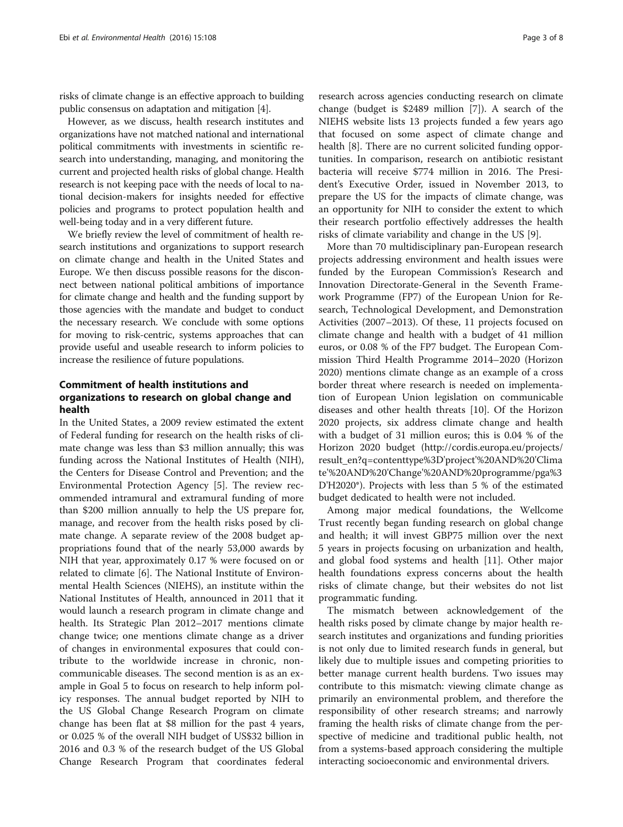risks of climate change is an effective approach to building public consensus on adaptation and mitigation [\[4\]](#page-6-0).

However, as we discuss, health research institutes and organizations have not matched national and international political commitments with investments in scientific research into understanding, managing, and monitoring the current and projected health risks of global change. Health research is not keeping pace with the needs of local to national decision-makers for insights needed for effective policies and programs to protect population health and well-being today and in a very different future.

We briefly review the level of commitment of health research institutions and organizations to support research on climate change and health in the United States and Europe. We then discuss possible reasons for the disconnect between national political ambitions of importance for climate change and health and the funding support by those agencies with the mandate and budget to conduct the necessary research. We conclude with some options for moving to risk-centric, systems approaches that can provide useful and useable research to inform policies to increase the resilience of future populations.

# Commitment of health institutions and organizations to research on global change and health

In the United States, a 2009 review estimated the extent of Federal funding for research on the health risks of climate change was less than \$3 million annually; this was funding across the National Institutes of Health (NIH), the Centers for Disease Control and Prevention; and the Environmental Protection Agency [\[5](#page-6-0)]. The review recommended intramural and extramural funding of more than \$200 million annually to help the US prepare for, manage, and recover from the health risks posed by climate change. A separate review of the 2008 budget appropriations found that of the nearly 53,000 awards by NIH that year, approximately 0.17 % were focused on or related to climate [\[6](#page-6-0)]. The National Institute of Environmental Health Sciences (NIEHS), an institute within the National Institutes of Health, announced in 2011 that it would launch a research program in climate change and health. Its Strategic Plan 2012–2017 mentions climate change twice; one mentions climate change as a driver of changes in environmental exposures that could contribute to the worldwide increase in chronic, noncommunicable diseases. The second mention is as an example in Goal 5 to focus on research to help inform policy responses. The annual budget reported by NIH to the US Global Change Research Program on climate change has been flat at \$8 million for the past 4 years, or 0.025 % of the overall NIH budget of US\$32 billion in 2016 and 0.3 % of the research budget of the US Global Change Research Program that coordinates federal research across agencies conducting research on climate change (budget is \$2489 million [[7\]](#page-6-0)). A search of the NIEHS website lists 13 projects funded a few years ago that focused on some aspect of climate change and health [\[8](#page-6-0)]. There are no current solicited funding opportunities. In comparison, research on antibiotic resistant bacteria will receive \$774 million in 2016. The President's Executive Order, issued in November 2013, to prepare the US for the impacts of climate change, was an opportunity for NIH to consider the extent to which their research portfolio effectively addresses the health risks of climate variability and change in the US [\[9](#page-6-0)].

More than 70 multidisciplinary pan-European research projects addressing environment and health issues were funded by the European Commission's Research and Innovation Directorate-General in the Seventh Framework Programme (FP7) of the European Union for Research, Technological Development, and Demonstration Activities (2007–2013). Of these, 11 projects focused on climate change and health with a budget of 41 million euros, or 0.08 % of the FP7 budget. The European Commission Third Health Programme 2014–2020 (Horizon 2020) mentions climate change as an example of a cross border threat where research is needed on implementation of European Union legislation on communicable diseases and other health threats [[10\]](#page-6-0). Of the Horizon 2020 projects, six address climate change and health with a budget of 31 million euros; this is 0.04 % of the Horizon 2020 budget ([http://cordis.europa.eu/projects/](http://cordis.europa.eu/projects/result_en?q=contenttype%3D) [result\\_en?q=contenttype%3D'project'%20AND%20'Clima](http://cordis.europa.eu/projects/result_en?q=contenttype%3D) [te'%20AND%20'Change'%20AND%20programme/pga%3](http://cordis.europa.eu/projects/result_en?q=contenttype%3D) [D'H2020](http://cordis.europa.eu/projects/result_en?q=contenttype%3D)\*). Projects with less than 5 % of the estimated budget dedicated to health were not included.

Among major medical foundations, the Wellcome Trust recently began funding research on global change and health; it will invest GBP75 million over the next 5 years in projects focusing on urbanization and health, and global food systems and health [[11\]](#page-6-0). Other major health foundations express concerns about the health risks of climate change, but their websites do not list programmatic funding.

The mismatch between acknowledgement of the health risks posed by climate change by major health research institutes and organizations and funding priorities is not only due to limited research funds in general, but likely due to multiple issues and competing priorities to better manage current health burdens. Two issues may contribute to this mismatch: viewing climate change as primarily an environmental problem, and therefore the responsibility of other research streams; and narrowly framing the health risks of climate change from the perspective of medicine and traditional public health, not from a systems-based approach considering the multiple interacting socioeconomic and environmental drivers.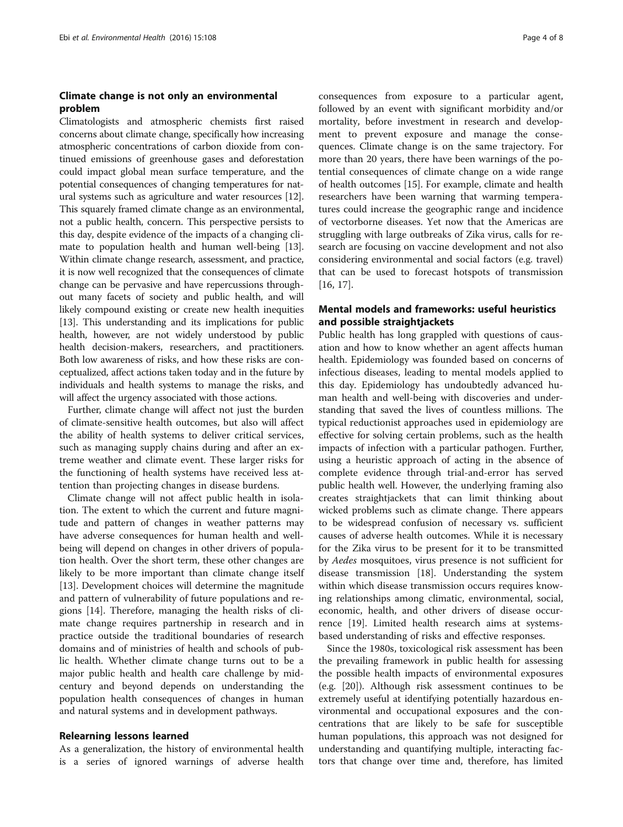# Climate change is not only an environmental problem

Climatologists and atmospheric chemists first raised concerns about climate change, specifically how increasing atmospheric concentrations of carbon dioxide from continued emissions of greenhouse gases and deforestation could impact global mean surface temperature, and the potential consequences of changing temperatures for natural systems such as agriculture and water resources [[12](#page-6-0)]. This squarely framed climate change as an environmental, not a public health, concern. This perspective persists to this day, despite evidence of the impacts of a changing climate to population health and human well-being [[13](#page-6-0)]. Within climate change research, assessment, and practice, it is now well recognized that the consequences of climate change can be pervasive and have repercussions throughout many facets of society and public health, and will likely compound existing or create new health inequities [[13](#page-6-0)]. This understanding and its implications for public health, however, are not widely understood by public health decision-makers, researchers, and practitioners. Both low awareness of risks, and how these risks are conceptualized, affect actions taken today and in the future by individuals and health systems to manage the risks, and will affect the urgency associated with those actions.

Further, climate change will affect not just the burden of climate-sensitive health outcomes, but also will affect the ability of health systems to deliver critical services, such as managing supply chains during and after an extreme weather and climate event. These larger risks for the functioning of health systems have received less attention than projecting changes in disease burdens.

Climate change will not affect public health in isolation. The extent to which the current and future magnitude and pattern of changes in weather patterns may have adverse consequences for human health and wellbeing will depend on changes in other drivers of population health. Over the short term, these other changes are likely to be more important than climate change itself [[13\]](#page-6-0). Development choices will determine the magnitude and pattern of vulnerability of future populations and regions [[14](#page-7-0)]. Therefore, managing the health risks of climate change requires partnership in research and in practice outside the traditional boundaries of research domains and of ministries of health and schools of public health. Whether climate change turns out to be a major public health and health care challenge by midcentury and beyond depends on understanding the population health consequences of changes in human and natural systems and in development pathways.

### Relearning lessons learned

As a generalization, the history of environmental health is a series of ignored warnings of adverse health

consequences from exposure to a particular agent, followed by an event with significant morbidity and/or mortality, before investment in research and development to prevent exposure and manage the consequences. Climate change is on the same trajectory. For more than 20 years, there have been warnings of the potential consequences of climate change on a wide range of health outcomes [\[15](#page-7-0)]. For example, climate and health researchers have been warning that warming temperatures could increase the geographic range and incidence of vectorborne diseases. Yet now that the Americas are struggling with large outbreaks of Zika virus, calls for research are focusing on vaccine development and not also considering environmental and social factors (e.g. travel) that can be used to forecast hotspots of transmission [[16, 17\]](#page-7-0).

## Mental models and frameworks: useful heuristics and possible straightjackets

Public health has long grappled with questions of causation and how to know whether an agent affects human health. Epidemiology was founded based on concerns of infectious diseases, leading to mental models applied to this day. Epidemiology has undoubtedly advanced human health and well-being with discoveries and understanding that saved the lives of countless millions. The typical reductionist approaches used in epidemiology are effective for solving certain problems, such as the health impacts of infection with a particular pathogen. Further, using a heuristic approach of acting in the absence of complete evidence through trial-and-error has served public health well. However, the underlying framing also creates straightjackets that can limit thinking about wicked problems such as climate change. There appears to be widespread confusion of necessary vs. sufficient causes of adverse health outcomes. While it is necessary for the Zika virus to be present for it to be transmitted by Aedes mosquitoes, virus presence is not sufficient for disease transmission [[18\]](#page-7-0). Understanding the system within which disease transmission occurs requires knowing relationships among climatic, environmental, social, economic, health, and other drivers of disease occurrence [[19\]](#page-7-0). Limited health research aims at systemsbased understanding of risks and effective responses.

Since the 1980s, toxicological risk assessment has been the prevailing framework in public health for assessing the possible health impacts of environmental exposures (e.g. [\[20\]](#page-7-0)). Although risk assessment continues to be extremely useful at identifying potentially hazardous environmental and occupational exposures and the concentrations that are likely to be safe for susceptible human populations, this approach was not designed for understanding and quantifying multiple, interacting factors that change over time and, therefore, has limited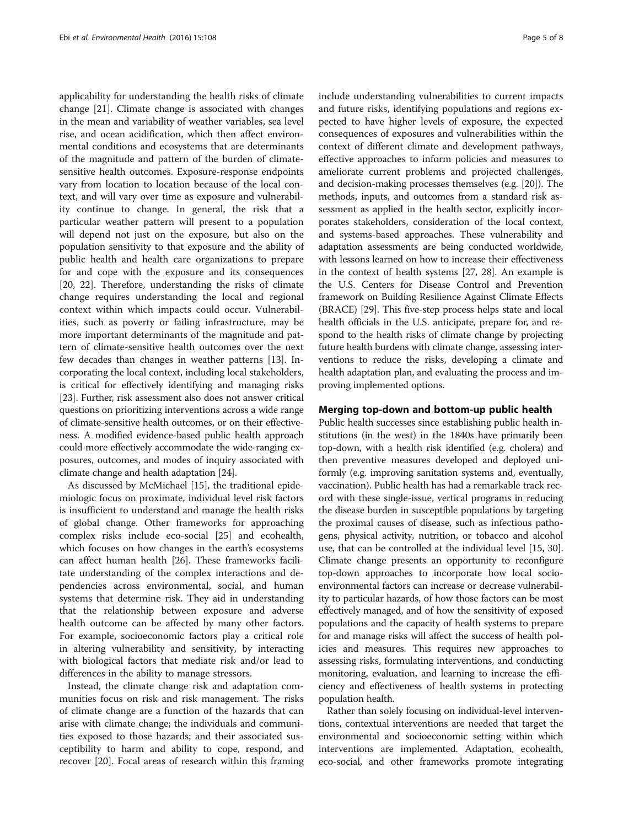applicability for understanding the health risks of climate change [[21](#page-7-0)]. Climate change is associated with changes in the mean and variability of weather variables, sea level rise, and ocean acidification, which then affect environmental conditions and ecosystems that are determinants of the magnitude and pattern of the burden of climatesensitive health outcomes. Exposure-response endpoints vary from location to location because of the local context, and will vary over time as exposure and vulnerability continue to change. In general, the risk that a particular weather pattern will present to a population will depend not just on the exposure, but also on the population sensitivity to that exposure and the ability of public health and health care organizations to prepare for and cope with the exposure and its consequences [[20, 22](#page-7-0)]. Therefore, understanding the risks of climate change requires understanding the local and regional context within which impacts could occur. Vulnerabilities, such as poverty or failing infrastructure, may be more important determinants of the magnitude and pattern of climate-sensitive health outcomes over the next few decades than changes in weather patterns [\[13\]](#page-6-0). Incorporating the local context, including local stakeholders, is critical for effectively identifying and managing risks [[23](#page-7-0)]. Further, risk assessment also does not answer critical questions on prioritizing interventions across a wide range of climate-sensitive health outcomes, or on their effectiveness. A modified evidence-based public health approach could more effectively accommodate the wide-ranging exposures, outcomes, and modes of inquiry associated with climate change and health adaptation [[24](#page-7-0)].

As discussed by McMichael [\[15](#page-7-0)], the traditional epidemiologic focus on proximate, individual level risk factors is insufficient to understand and manage the health risks of global change. Other frameworks for approaching complex risks include eco-social [[25](#page-7-0)] and ecohealth, which focuses on how changes in the earth's ecosystems can affect human health [\[26](#page-7-0)]. These frameworks facilitate understanding of the complex interactions and dependencies across environmental, social, and human systems that determine risk. They aid in understanding that the relationship between exposure and adverse health outcome can be affected by many other factors. For example, socioeconomic factors play a critical role in altering vulnerability and sensitivity, by interacting with biological factors that mediate risk and/or lead to differences in the ability to manage stressors.

Instead, the climate change risk and adaptation communities focus on risk and risk management. The risks of climate change are a function of the hazards that can arise with climate change; the individuals and communities exposed to those hazards; and their associated susceptibility to harm and ability to cope, respond, and recover [[20\]](#page-7-0). Focal areas of research within this framing include understanding vulnerabilities to current impacts and future risks, identifying populations and regions expected to have higher levels of exposure, the expected consequences of exposures and vulnerabilities within the context of different climate and development pathways, effective approaches to inform policies and measures to ameliorate current problems and projected challenges, and decision-making processes themselves (e.g. [[20](#page-7-0)]). The methods, inputs, and outcomes from a standard risk assessment as applied in the health sector, explicitly incorporates stakeholders, consideration of the local context, and systems-based approaches. These vulnerability and adaptation assessments are being conducted worldwide, with lessons learned on how to increase their effectiveness in the context of health systems [[27, 28](#page-7-0)]. An example is the U.S. Centers for Disease Control and Prevention framework on Building Resilience Against Climate Effects (BRACE) [[29\]](#page-7-0). This five-step process helps state and local health officials in the U.S. anticipate, prepare for, and respond to the health risks of climate change by projecting future health burdens with climate change, assessing interventions to reduce the risks, developing a climate and health adaptation plan, and evaluating the process and improving implemented options.

### Merging top-down and bottom-up public health

Public health successes since establishing public health institutions (in the west) in the 1840s have primarily been top-down, with a health risk identified (e.g. cholera) and then preventive measures developed and deployed uniformly (e.g. improving sanitation systems and, eventually, vaccination). Public health has had a remarkable track record with these single-issue, vertical programs in reducing the disease burden in susceptible populations by targeting the proximal causes of disease, such as infectious pathogens, physical activity, nutrition, or tobacco and alcohol use, that can be controlled at the individual level [[15, 30](#page-7-0)]. Climate change presents an opportunity to reconfigure top-down approaches to incorporate how local socioenvironmental factors can increase or decrease vulnerability to particular hazards, of how those factors can be most effectively managed, and of how the sensitivity of exposed populations and the capacity of health systems to prepare for and manage risks will affect the success of health policies and measures. This requires new approaches to assessing risks, formulating interventions, and conducting monitoring, evaluation, and learning to increase the efficiency and effectiveness of health systems in protecting population health.

Rather than solely focusing on individual-level interventions, contextual interventions are needed that target the environmental and socioeconomic setting within which interventions are implemented. Adaptation, ecohealth, eco-social, and other frameworks promote integrating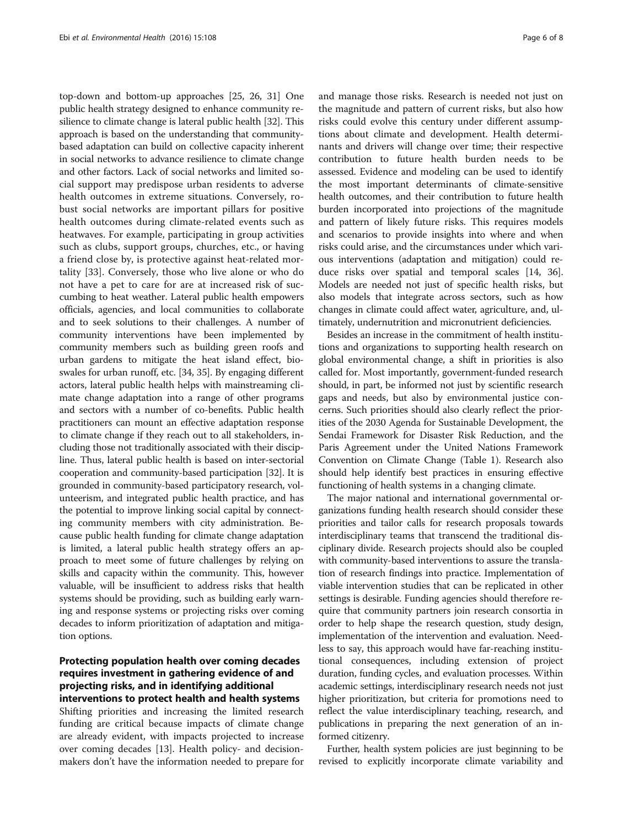top-down and bottom-up approaches [[25, 26](#page-7-0), [31](#page-7-0)] One public health strategy designed to enhance community resilience to climate change is lateral public health [\[32\]](#page-7-0). This approach is based on the understanding that communitybased adaptation can build on collective capacity inherent in social networks to advance resilience to climate change and other factors. Lack of social networks and limited social support may predispose urban residents to adverse health outcomes in extreme situations. Conversely, robust social networks are important pillars for positive health outcomes during climate-related events such as heatwaves. For example, participating in group activities such as clubs, support groups, churches, etc., or having a friend close by, is protective against heat-related mortality [\[33](#page-7-0)]. Conversely, those who live alone or who do not have a pet to care for are at increased risk of succumbing to heat weather. Lateral public health empowers officials, agencies, and local communities to collaborate and to seek solutions to their challenges. A number of community interventions have been implemented by community members such as building green roofs and urban gardens to mitigate the heat island effect, bioswales for urban runoff, etc. [[34](#page-7-0), [35\]](#page-7-0). By engaging different actors, lateral public health helps with mainstreaming climate change adaptation into a range of other programs and sectors with a number of co-benefits. Public health practitioners can mount an effective adaptation response to climate change if they reach out to all stakeholders, including those not traditionally associated with their discipline. Thus, lateral public health is based on inter-sectorial cooperation and community-based participation [\[32\]](#page-7-0). It is grounded in community-based participatory research, volunteerism, and integrated public health practice, and has the potential to improve linking social capital by connecting community members with city administration. Because public health funding for climate change adaptation is limited, a lateral public health strategy offers an approach to meet some of future challenges by relying on skills and capacity within the community. This, however valuable, will be insufficient to address risks that health systems should be providing, such as building early warning and response systems or projecting risks over coming decades to inform prioritization of adaptation and mitigation options.

# Protecting population health over coming decades requires investment in gathering evidence of and projecting risks, and in identifying additional interventions to protect health and health systems

Shifting priorities and increasing the limited research funding are critical because impacts of climate change are already evident, with impacts projected to increase over coming decades [[13\]](#page-6-0). Health policy- and decisionmakers don't have the information needed to prepare for and manage those risks. Research is needed not just on the magnitude and pattern of current risks, but also how risks could evolve this century under different assumptions about climate and development. Health determinants and drivers will change over time; their respective contribution to future health burden needs to be assessed. Evidence and modeling can be used to identify the most important determinants of climate-sensitive health outcomes, and their contribution to future health burden incorporated into projections of the magnitude and pattern of likely future risks. This requires models and scenarios to provide insights into where and when risks could arise, and the circumstances under which various interventions (adaptation and mitigation) could reduce risks over spatial and temporal scales [[14](#page-7-0), [36](#page-7-0)]. Models are needed not just of specific health risks, but also models that integrate across sectors, such as how changes in climate could affect water, agriculture, and, ul-

Besides an increase in the commitment of health institutions and organizations to supporting health research on global environmental change, a shift in priorities is also called for. Most importantly, government-funded research should, in part, be informed not just by scientific research gaps and needs, but also by environmental justice concerns. Such priorities should also clearly reflect the priorities of the 2030 Agenda for Sustainable Development, the Sendai Framework for Disaster Risk Reduction, and the Paris Agreement under the United Nations Framework Convention on Climate Change (Table [1\)](#page-1-0). Research also should help identify best practices in ensuring effective functioning of health systems in a changing climate.

timately, undernutrition and micronutrient deficiencies.

The major national and international governmental organizations funding health research should consider these priorities and tailor calls for research proposals towards interdisciplinary teams that transcend the traditional disciplinary divide. Research projects should also be coupled with community-based interventions to assure the translation of research findings into practice. Implementation of viable intervention studies that can be replicated in other settings is desirable. Funding agencies should therefore require that community partners join research consortia in order to help shape the research question, study design, implementation of the intervention and evaluation. Needless to say, this approach would have far-reaching institutional consequences, including extension of project duration, funding cycles, and evaluation processes. Within academic settings, interdisciplinary research needs not just higher prioritization, but criteria for promotions need to reflect the value interdisciplinary teaching, research, and publications in preparing the next generation of an informed citizenry.

Further, health system policies are just beginning to be revised to explicitly incorporate climate variability and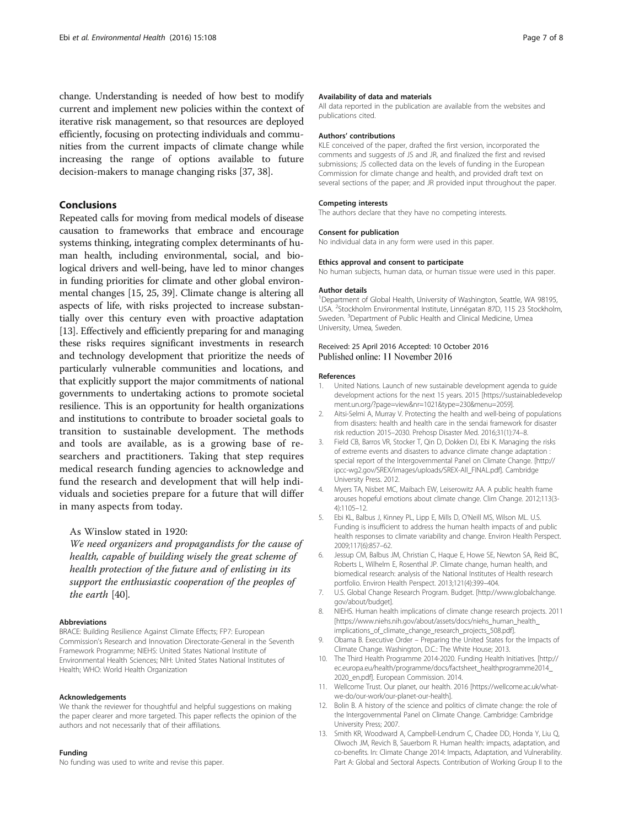<span id="page-6-0"></span>change. Understanding is needed of how best to modify current and implement new policies within the context of iterative risk management, so that resources are deployed efficiently, focusing on protecting individuals and communities from the current impacts of climate change while increasing the range of options available to future decision-makers to manage changing risks [[37](#page-7-0), [38\]](#page-7-0).

## Conclusions

Repeated calls for moving from medical models of disease causation to frameworks that embrace and encourage systems thinking, integrating complex determinants of human health, including environmental, social, and biological drivers and well-being, have led to minor changes in funding priorities for climate and other global environmental changes [\[15](#page-7-0), [25, 39\]](#page-7-0). Climate change is altering all aspects of life, with risks projected to increase substantially over this century even with proactive adaptation [13]. Effectively and efficiently preparing for and managing these risks requires significant investments in research and technology development that prioritize the needs of particularly vulnerable communities and locations, and that explicitly support the major commitments of national governments to undertaking actions to promote societal resilience. This is an opportunity for health organizations and institutions to contribute to broader societal goals to transition to sustainable development. The methods and tools are available, as is a growing base of researchers and practitioners. Taking that step requires medical research funding agencies to acknowledge and fund the research and development that will help individuals and societies prepare for a future that will differ in many aspects from today.

### As Winslow stated in 1920:

We need organizers and propagandists for the cause of health, capable of building wisely the great scheme of health protection of the future and of enlisting in its support the enthusiastic cooperation of the peoples of the earth [[40\]](#page-7-0).

#### Abbreviations

BRACE: Building Resilience Against Climate Effects; FP7: European Commission's Research and Innovation Directorate-General in the Seventh Framework Programme; NIEHS: United States National Institute of Environmental Health Sciences; NIH: United States National Institutes of Health; WHO: World Health Organization

#### Acknowledgements

We thank the reviewer for thoughtful and helpful suggestions on making the paper clearer and more targeted. This paper reflects the opinion of the authors and not necessarily that of their affiliations.

### Funding

No funding was used to write and revise this paper.

#### Availability of data and materials

All data reported in the publication are available from the websites and publications cited.

#### Authors' contributions

KLE conceived of the paper, drafted the first version, incorporated the comments and suggests of JS and JR, and finalized the first and revised submissions; JS collected data on the levels of funding in the European Commission for climate change and health, and provided draft text on several sections of the paper; and JR provided input throughout the paper.

#### Competing interests

The authors declare that they have no competing interests.

#### Consent for publication

No individual data in any form were used in this paper.

#### Ethics approval and consent to participate

No human subjects, human data, or human tissue were used in this paper.

#### Author details

<sup>1</sup>Department of Global Health, University of Washington, Seattle, WA 98195 USA. <sup>2</sup>Stockholm Environmental Institute, Linnégatan 87D, 115 23 Stockholm, Sweden. <sup>3</sup>Department of Public Health and Clinical Medicine, Umea University, Umea, Sweden.

### Received: 25 April 2016 Accepted: 10 October 2016 Published online: 11 November 2016

#### References

- 1. United Nations. Launch of new sustainable development agenda to guide development actions for the next 15 years. 2015 [\[https://sustainabledevelop](https://sustainabledevelopment.un.org/?page=view&nr=1021&type=230&menu=2059) [ment.un.org/?page=view&nr=1021&type=230&menu=2059](https://sustainabledevelopment.un.org/?page=view&nr=1021&type=230&menu=2059)].
- 2. Aitsi-Selmi A, Murray V. Protecting the health and well-being of populations from disasters: health and health care in the sendai framework for disaster risk reduction 2015–2030. Prehosp Disaster Med. 2016;31(1):74–8.
- 3. Field CB, Barros VR, Stocker T, Qin D, Dokken DJ, Ebi K. Managing the risks of extreme events and disasters to advance climate change adaptation : special report of the Intergovernmental Panel on Climate Change. [[http://](http://ipcc-wg2.gov/SREX/images/uploads/SREX-All_FINAL.pdf) [ipcc-wg2.gov/SREX/images/uploads/SREX-All\\_FINAL.pdf](http://ipcc-wg2.gov/SREX/images/uploads/SREX-All_FINAL.pdf)]. Cambridge University Press. 2012.
- 4. Myers TA, Nisbet MC, Maibach EW, Leiserowitz AA. A public health frame arouses hopeful emotions about climate change. Clim Change. 2012;113(3- 4):1105–12.
- 5. Ebi KL, Balbus J, Kinney PL, Lipp E, Mills D, O'Neill MS, Wilson ML. U.S. Funding is insufficient to address the human health impacts of and public health responses to climate variability and change. Environ Health Perspect. 2009;117(6):857–62.
- 6. Jessup CM, Balbus JM, Christian C, Haque E, Howe SE, Newton SA, Reid BC, Roberts L, Wilhelm E, Rosenthal JP. Climate change, human health, and biomedical research: analysis of the National Institutes of Health research portfolio. Environ Health Perspect. 2013;121(4):399–404.
- 7. U.S. Global Change Research Program. Budget. [\[http://www.globalchange.](http://www.globalchange.gov/about/budget) [gov/about/budget\]](http://www.globalchange.gov/about/budget).
- 8. NIEHS. Human health implications of climate change research projects. 2011 [[https://www.niehs.nih.gov/about/assets/docs/niehs\\_human\\_health\\_](https://www.niehs.nih.gov/about/assets/docs/niehs_human_health_implications_of_climate_change_research_projects_508.pdf) [implications\\_of\\_climate\\_change\\_research\\_projects\\_508.pdf\]](https://www.niehs.nih.gov/about/assets/docs/niehs_human_health_implications_of_climate_change_research_projects_508.pdf).
- 9. Obama B. Executive Order Preparing the United States for the Impacts of Climate Change. Washington, D.C.: The White House; 2013.
- 10. The Third Health Programme 2014-2020. Funding Health Initiatives. [[http://](http://ec.europa.eu/health/programme/docs/factsheet_healthprogramme2014_2020_en.pdf) [ec.europa.eu/health/programme/docs/factsheet\\_healthprogramme2014\\_](http://ec.europa.eu/health/programme/docs/factsheet_healthprogramme2014_2020_en.pdf) [2020\\_en.pdf\]](http://ec.europa.eu/health/programme/docs/factsheet_healthprogramme2014_2020_en.pdf). European Commission. 2014.
- 11. Wellcome Trust. Our planet, our health. 2016 [[https://wellcome.ac.uk/what](https://wellcome.ac.uk/what-we-do/our-work/our-planet-our-health)[we-do/our-work/our-planet-our-health\]](https://wellcome.ac.uk/what-we-do/our-work/our-planet-our-health).
- 12. Bolin B. A history of the science and politics of climate change: the role of the Intergovernmental Panel on Climate Change. Cambridge: Cambridge University Press; 2007.
- 13. Smith KR, Woodward A, Campbell-Lendrum C, Chadee DD, Honda Y, Liu Q, Olwoch JM, Revich B, Sauerborn R. Human health: impacts, adaptation, and co-benefits. In: Climate Change 2014: Impacts, Adaptation, and Vulnerability. Part A: Global and Sectoral Aspects. Contribution of Working Group II to the